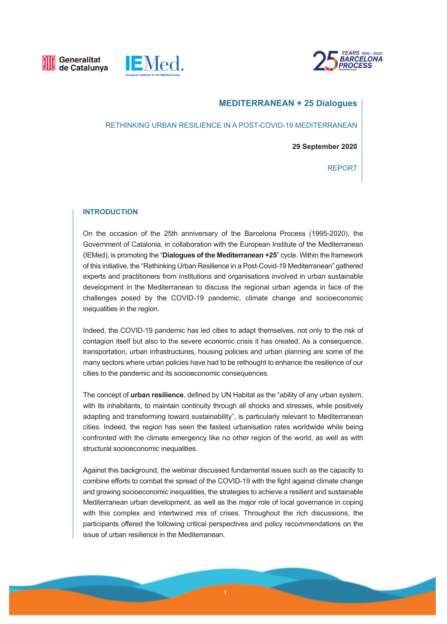





# **MEDITERRANEAN + 25 Dialogues**

RETHINKING URBAN RESILIENCE IN A POST-COVID-19 MEDITERRANEAN

**29 September 2020** 

REPORT

#### **INTRODUCTION**

On the occasion of the 25th anniversary of the Barcelona Process (1995-2020), the Government of Catalonia, in collaboration with the European Institute of the Mediterranean (IEMed), is promoting the "**Dialogues of the Mediterranean +25**" cycle. Within the framework of this initiative, the "Rethinking Urban Resilience in a Post-Covid-19 Mediterranean" gathered experts and practitioners from institutions and organisations involved in urban sustainable development in the Mediterranean to discuss the regional urban agenda in face of the challenges posed by the COVID-19 pandemic, climate change and socioeconomic inequalities in the region.

Indeed, the COVID-19 pandemic has led cities to adapt themselves, not only to the risk of contagion itself but also to the severe economic crisis it has created. As a consequence, transportation, urban infrastructures, housing policies and urban planning are some of the many sectors where urban policies have had to be rethought to enhance the resilience of our cities to the pandemic and its socioeconomic consequences.

The concept of **urban resilience**, defined by UN Habitat as the "ability of any urban system, with its inhabitants, to maintain continuity through all shocks and stresses, while positively adapting and transforming toward sustainability", is particularly relevant to Mediterranean cities. Indeed, the region has seen the fastest urbanisation rates worldwide while being confronted with the climate emergency like no other region of the world, as well as with structural socioeconomic inequalities.

Against this background, the webinar discussed fundamental issues such as the capacity to combine efforts to combat the spread of the COVID-19 with the fight against climate change and growing socioeconomic inequalities, the strategies to achieve a resilient and sustainable Mediterranean urban development, as well as the major role of local governance in coping with this complex and intertwined mix of crises. Throughout the rich discussions, the participants offered the following critical perspectives and policy recommendations on the issue of urban resilience in the Mediterranean.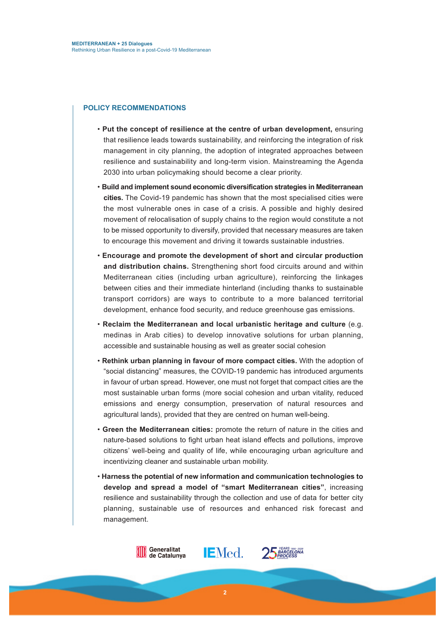#### **POLICY RECOMMENDATIONS**

- **Put the concept of resilience at the centre of urban development,** ensuring that resilience leads towards sustainability, and reinforcing the integration of risk management in city planning, the adoption of integrated approaches between resilience and sustainability and long-term vision. Mainstreaming the Agenda 2030 into urban policymaking should become a clear priority.
- **Build and implement sound economic diversification strategies in Mediterranean cities.** The Covid-19 pandemic has shown that the most specialised cities were the most vulnerable ones in case of a crisis. A possible and highly desired movement of relocalisation of supply chains to the region would constitute a not to be missed opportunity to diversify, provided that necessary measures are taken to encourage this movement and driving it towards sustainable industries.
- **Encourage and promote the development of short and circular production and distribution chains.** Strengthening short food circuits around and within Mediterranean cities (including urban agriculture), reinforcing the linkages between cities and their immediate hinterland (including thanks to sustainable transport corridors) are ways to contribute to a more balanced territorial development, enhance food security, and reduce greenhouse gas emissions.
- **Reclaim the Mediterranean and local urbanistic heritage and culture** (e.g. medinas in Arab cities) to develop innovative solutions for urban planning, accessible and sustainable housing as well as greater social cohesion
- **Rethink urban planning in favour of more compact cities.** With the adoption of "social distancing" measures, the COVID-19 pandemic has introduced arguments in favour of urban spread. However, one must not forget that compact cities are the most sustainable urban forms (more social cohesion and urban vitality, reduced emissions and energy consumption, preservation of natural resources and agricultural lands), provided that they are centred on human well-being.
- **Green the Mediterranean cities:** promote the return of nature in the cities and nature-based solutions to fight urban heat island effects and pollutions, improve citizens' well-being and quality of life, while encouraging urban agriculture and incentivizing cleaner and sustainable urban mobility.
- **Harness the potential of new information and communication technologies to develop and spread a model of "smart Mediterranean cities"**, increasing resilience and sustainability through the collection and use of data for better city planning, sustainable use of resources and enhanced risk forecast and management.

**IEMed.** 

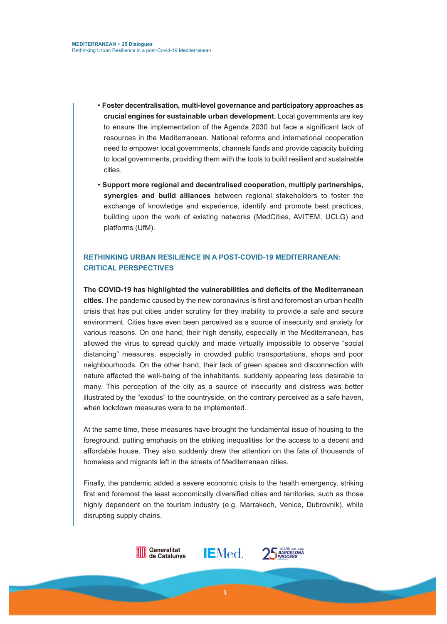- **Foster decentralisation, multi-level governance and participatory approaches as crucial engines for sustainable urban development.** Local governments are key to ensure the implementation of the Agenda 2030 but face a significant lack of resources in the Mediterranean. National reforms and international cooperation need to empower local governments, channels funds and provide capacity building to local governments, providing them with the tools to build resilient and sustainable cities.
- **Support more regional and decentralised cooperation, multiply partnerships, synergies and build alliances** between regional stakeholders to foster the exchange of knowledge and experience, identify and promote best practices, building upon the work of existing networks (MedCities, AVITEM, UCLG) and platforms (UfM).

## **RETHINKING URBAN RESILIENCE IN A POST-COVID-19 MEDITERRANEAN: CRITICAL PERSPECTIVES**

**The COVID-19 has highlighted the vulnerabilities and deficits of the Mediterranean cities.** The pandemic caused by the new coronavirus is first and foremost an urban health crisis that has put cities under scrutiny for they inability to provide a safe and secure environment. Cities have even been perceived as a source of insecurity and anxiety for various reasons. On one hand, their high density, especially in the Mediterranean, has allowed the virus to spread quickly and made virtually impossible to observe "social distancing" measures, especially in crowded public transportations, shops and poor neighbourhoods. On the other hand, their lack of green spaces and disconnection with nature affected the well-being of the inhabitants, suddenly appearing less desirable to many. This perception of the city as a source of insecurity and distress was better illustrated by the "exodus" to the countryside, on the contrary perceived as a safe haven, when lockdown measures were to be implemented.

At the same time, these measures have brought the fundamental issue of housing to the foreground, putting emphasis on the striking inequalities for the access to a decent and affordable house. They also suddenly drew the attention on the fate of thousands of homeless and migrants left in the streets of Mediterranean cities.

Finally, the pandemic added a severe economic crisis to the health emergency, striking first and foremost the least economically diversified cities and territories, such as those highly dependent on the tourism industry (e.g. Marrakech, Venice, Dubrovnik), while disrupting supply chains.



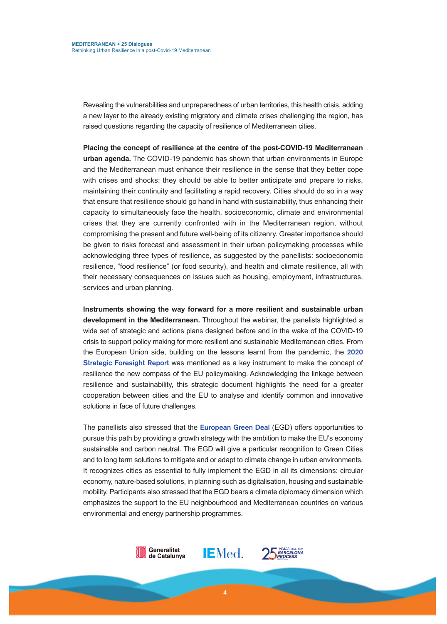Revealing the vulnerabilities and unpreparedness of urban territories, this health crisis, adding a new layer to the already existing migratory and climate crises challenging the region, has raised questions regarding the capacity of resilience of Mediterranean cities.

**Placing the concept of resilience at the centre of the post-COVID-19 Mediterranean urban agenda.** The COVID-19 pandemic has shown that urban environments in Europe and the Mediterranean must enhance their resilience in the sense that they better cope with crises and shocks: they should be able to better anticipate and prepare to risks, maintaining their continuity and facilitating a rapid recovery. Cities should do so in a way that ensure that resilience should go hand in hand with sustainability, thus enhancing their capacity to simultaneously face the health, socioeconomic, climate and environmental crises that they are currently confronted with in the Mediterranean region, without compromising the present and future well-being of its citizenry. Greater importance should be given to risks forecast and assessment in their urban policymaking processes while acknowledging three types of resilience, as suggested by the panellists: socioeconomic resilience, "food resilience" (or food security), and health and climate resilience, all with their necessary consequences on issues such as housing, employment, infrastructures, services and urban planning.

**Instruments showing the way forward for a more resilient and sustainable urban development in the Mediterranean.** Throughout the webinar, the panelists highlighted a wide set of strategic and actions plans designed before and in the wake of the COVID-19 crisis to support policy making for more resilient and sustainable Mediterranean cities. From the European Union side, building on the lessons learnt from the pandemic, the **2020 Strategic Foresight Report** was mentioned as a key instrument to make the concept of resilience the new compass of the EU policymaking. Acknowledging the linkage between resilience and sustainability, this strategic document highlights the need for a greater cooperation between cities and the EU to analyse and identify common and innovative solutions in face of future challenges.

The panellists also stressed that the **European Green Deal** (EGD) offers opportunities to pursue this path by providing a growth strategy with the ambition to make the EU's economy sustainable and carbon neutral. The EGD will give a particular recognition to Green Cities and to long term solutions to mitigate and or adapt to climate change in urban environments. It recognizes cities as essential to fully implement the EGD in all its dimensions: circular economy, nature-based solutions, in planning such as digitalisation, housing and sustainable mobility. Participants also stressed that the EGD bears a climate diplomacy dimension which emphasizes the support to the EU neighbourhood and Mediterranean countries on various environmental and energy partnership programmes.

**4**

**IEMed.** 25 BARCELONA

Generalitat

de Catalunya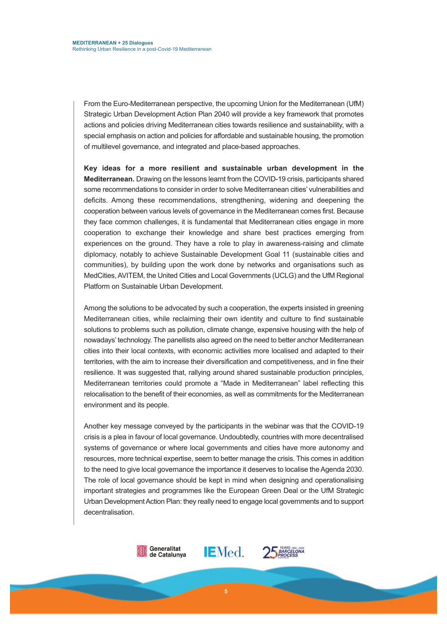From the Euro-Mediterranean perspective, the upcoming Union for the Mediterranean (UfM) Strategic Urban Development Action Plan 2040 will provide a key framework that promotes actions and policies driving Mediterranean cities towards resilience and sustainability, with a special emphasis on action and policies for affordable and sustainable housing, the promotion of multilevel governance, and integrated and place-based approaches.

**Key ideas for a more resilient and sustainable urban development in the Mediterranean.** Drawing on the lessons learnt from the COVID-19 crisis, participants shared some recommendations to consider in order to solve Mediterranean cities' vulnerabilities and deficits. Among these recommendations, strengthening, widening and deepening the cooperation between various levels of governance in the Mediterranean comes first. Because they face common challenges, it is fundamental that Mediterranean cities engage in more cooperation to exchange their knowledge and share best practices emerging from experiences on the ground. They have a role to play in awareness-raising and climate diplomacy, notably to achieve Sustainable Development Goal 11 (sustainable cities and communities), by building upon the work done by networks and organisations such as MedCities, AVITEM, the United Cities and Local Governments (UCLG) and the UfM Regional Platform on Sustainable Urban Development.

Among the solutions to be advocated by such a cooperation, the experts insisted in greening Mediterranean cities, while reclaiming their own identity and culture to find sustainable solutions to problems such as pollution, climate change, expensive housing with the help of nowadays' technology. The panellists also agreed on the need to better anchor Mediterranean cities into their local contexts, with economic activities more localised and adapted to their territories, with the aim to increase their diversification and competitiveness, and in fine their resilience. It was suggested that, rallying around shared sustainable production principles, Mediterranean territories could promote a "Made in Mediterranean" label reflecting this relocalisation to the benefit of their economies, as well as commitments for the Mediterranean environment and its people.

Another key message conveyed by the participants in the webinar was that the COVID-19 crisis is a plea in favour of local governance. Undoubtedly, countries with more decentralised systems of governance or where local governments and cities have more autonomy and resources, more technical expertise, seem to better manage the crisis. This comes in addition to the need to give local governance the importance it deserves to localise the Agenda 2030. The role of local governance should be kept in mind when designing and operationalising important strategies and programmes like the European Green Deal or the UfM Strategic Urban Development Action Plan: they really need to engage local governments and to support decentralisation.